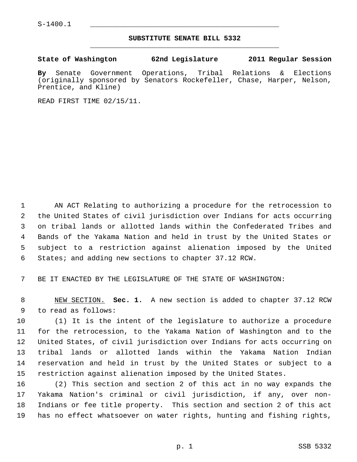$S-1400.1$ 

## **SUBSTITUTE SENATE BILL 5332** \_\_\_\_\_\_\_\_\_\_\_\_\_\_\_\_\_\_\_\_\_\_\_\_\_\_\_\_\_\_\_\_\_\_\_\_\_\_\_\_\_\_\_\_\_

**State of Washington 62nd Legislature 2011 Regular Session**

**By** Senate Government Operations, Tribal Relations & Elections (originally sponsored by Senators Rockefeller, Chase, Harper, Nelson, Prentice, and Kline)

READ FIRST TIME 02/15/11.

 1 AN ACT Relating to authorizing a procedure for the retrocession to 2 the United States of civil jurisdiction over Indians for acts occurring 3 on tribal lands or allotted lands within the Confederated Tribes and 4 Bands of the Yakama Nation and held in trust by the United States or 5 subject to a restriction against alienation imposed by the United 6 States; and adding new sections to chapter 37.12 RCW.

7 BE IT ENACTED BY THE LEGISLATURE OF THE STATE OF WASHINGTON:

 8 NEW SECTION. **Sec. 1.** A new section is added to chapter 37.12 RCW 9 to read as follows:

10 (1) It is the intent of the legislature to authorize a procedure 11 for the retrocession, to the Yakama Nation of Washington and to the 12 United States, of civil jurisdiction over Indians for acts occurring on 13 tribal lands or allotted lands within the Yakama Nation Indian 14 reservation and held in trust by the United States or subject to a 15 restriction against alienation imposed by the United States.

16 (2) This section and section 2 of this act in no way expands the 17 Yakama Nation's criminal or civil jurisdiction, if any, over non-18 Indians or fee title property. This section and section 2 of this act 19 has no effect whatsoever on water rights, hunting and fishing rights,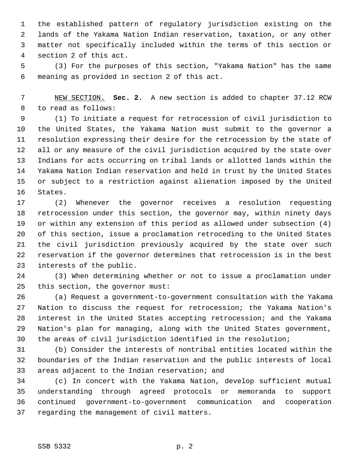1 the established pattern of regulatory jurisdiction existing on the 2 lands of the Yakama Nation Indian reservation, taxation, or any other 3 matter not specifically included within the terms of this section or 4 section 2 of this act.

 5 (3) For the purposes of this section, "Yakama Nation" has the same 6 meaning as provided in section 2 of this act.

 7 NEW SECTION. **Sec. 2.** A new section is added to chapter 37.12 RCW 8 to read as follows:

 9 (1) To initiate a request for retrocession of civil jurisdiction to 10 the United States, the Yakama Nation must submit to the governor a 11 resolution expressing their desire for the retrocession by the state of 12 all or any measure of the civil jurisdiction acquired by the state over 13 Indians for acts occurring on tribal lands or allotted lands within the 14 Yakama Nation Indian reservation and held in trust by the United States 15 or subject to a restriction against alienation imposed by the United 16 States.

17 (2) Whenever the governor receives a resolution requesting 18 retrocession under this section, the governor may, within ninety days 19 or within any extension of this period as allowed under subsection (4) 20 of this section, issue a proclamation retroceding to the United States 21 the civil jurisdiction previously acquired by the state over such 22 reservation if the governor determines that retrocession is in the best 23 interests of the public.

24 (3) When determining whether or not to issue a proclamation under 25 this section, the governor must:

26 (a) Request a government-to-government consultation with the Yakama 27 Nation to discuss the request for retrocession; the Yakama Nation's 28 interest in the United States accepting retrocession; and the Yakama 29 Nation's plan for managing, along with the United States government, 30 the areas of civil jurisdiction identified in the resolution;

31 (b) Consider the interests of nontribal entities located within the 32 boundaries of the Indian reservation and the public interests of local 33 areas adjacent to the Indian reservation; and

34 (c) In concert with the Yakama Nation, develop sufficient mutual 35 understanding through agreed protocols or memoranda to support 36 continued government-to-government communication and cooperation 37 regarding the management of civil matters.